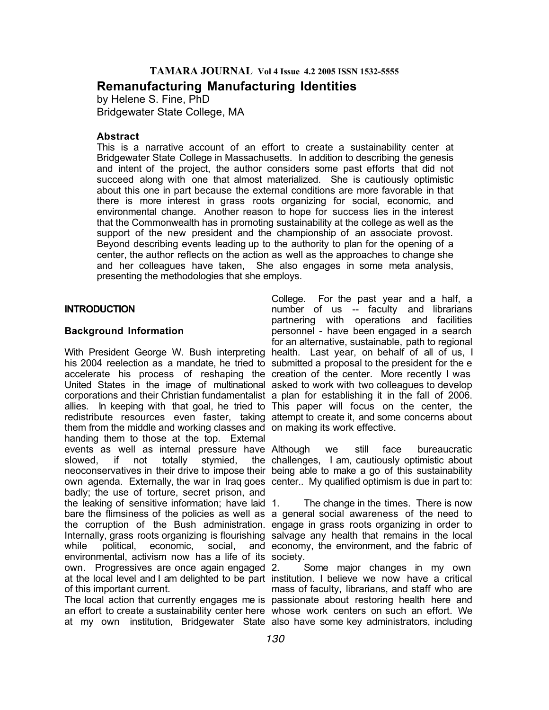# **TAMARA JOURNAL Vol 4 Issue 4.2 2005 ISSN 1532-5555**

**Remanufacturing Manufacturing Identities**

by Helene S. Fine, PhD Bridgewater State College, MA

# **Abstract**

This is a narrative account of an effort to create a sustainability center at Bridgewater State College in Massachusetts. In addition to describing the genesis and intent of the project, the author considers some past efforts that did not succeed along with one that almost materialized. She is cautiously optimistic about this one in part because the external conditions are more favorable in that there is more interest in grass roots organizing for social, economic, and environmental change. Another reason to hope for success lies in the interest that the Commonwealth has in promoting sustainability at the college as well as the support of the new president and the championship of an associate provost. Beyond describing events leading up to the authority to plan for the opening of a center, the author reflects on the action as well as the approaches to change she and her colleagues have taken, She also engages in some meta analysis, presenting the methodologies that she employs.

# **INTRODUCTION**

# **Background Information**

With President George W. Bush interpreting health. Last year, on behalf of all of us, I his 2004 reelection as a mandate, he tried to submitted a proposal to the president for the e accelerate his process of reshaping the creation of the center. More recently I was United States in the image of multinational asked to work with two colleagues to develop corporations and their Christian fundamentalist a plan for establishing it in the fall of 2006. allies. In keeping with that goal, he tried to This paper will focus on the center, the redistribute resources even faster, taking attempt to create it, and some concerns about them from the middle and working classes and on making its work effective. handing them to those at the top. External events as well as internal pressure have Although slowed, if not totally stymied, neoconservatives in their drive to impose their being able to make a go of this sustainability own agenda. Externally, the war in Iraq goes center.. My qualified optimism is due in part to: badly; the use of torture, secret prison, and the leaking of sensitive information; have laid bare the flimsiness of the policies as well as a general social awareness of the need to the corruption of the Bush administration. engage in grass roots organizing in order to Internally, grass roots organizing is flourishing salvage any health that remains in the local while political, economic, social, environmental, activism now has a life of its society. own. Progressives are once again engaged at the local level and I am delighted to be part institution. I believe we now have a critical of this important current.

The local action that currently engages me is passionate about restoring health here and an effort to create a sustainability center here whose work centers on such an effort. We at my own institution, Bridgewater State also have some key administrators, including

College. For the past year and a half, a number of us -- faculty and librarians partnering with operations and facilities personnel - have been engaged in a search for an alternative, sustainable, path to regional

we still face bureaucratic challenges, I am, cautiously optimistic about

The change in the times. There is now and economy, the environment, and the fabric of

Some major changes in my own mass of faculty, librarians, and staff who are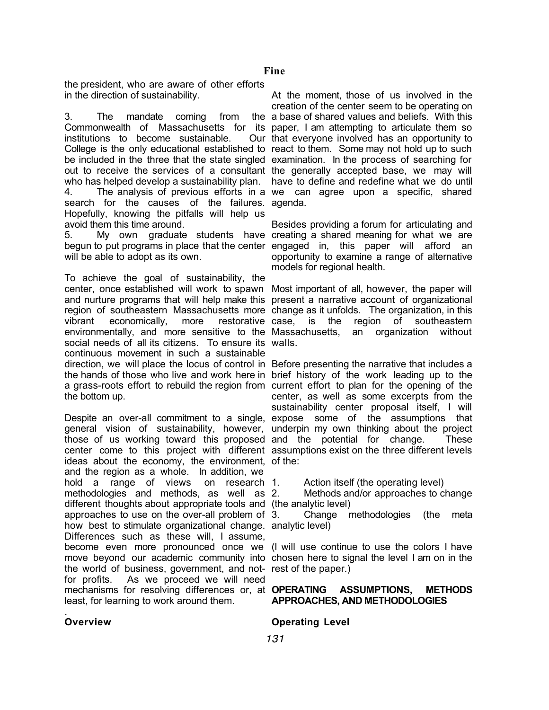the president, who are aware of other efforts in the direction of sustainability.

3. The mandate coming from Commonwealth of Massachusetts for its paper, I am attempting to articulate them so institutions to become sustainable. College is the only educational established to react to them. Some may not hold up to such be included in the three that the state singled examination. In the process of searching for out to receive the services of a consultant the generally accepted base, we may will who has helped develop a sustainability plan. have to define and redefine what we do until

4. The analysis of previous efforts in a we can agree upon a specific, shared search for the causes of the failures. agenda. Hopefully, knowing the pitfalls will help us avoid them this time around.

5. My own graduate students have creating a shared meaning for what we are begun to put programs in place that the center engaged in, this paper will afford an will be able to adopt as its own.

To achieve the goal of sustainability, the center, once established will work to spawn Most important of all, however, the paper will and nurture programs that will help make this present a narrative account of organizational region of southeastern Massachusetts more change as it unfolds. The organization, in this vibrant economically, more restorative environmentally, and more sensitive to the social needs of all its citizens. To ensure its walls. continuous movement in such a sustainable direction, we will place the locus of control in Before presenting the narrative that includes a the hands of those who live and work here in brief history of the work leading up to the a grass-roots effort to rebuild the region from current effort to plan for the opening of the the bottom up.

general vision of sustainability, however, underpin my own thinking about the project those of us working toward this proposed and the potential for change. These center come to this project with different assumptions exist on the three different levels ideas about the economy, the environment, of the: and the region as a whole. In addition, we hold a range of views on research 1. methodologies and methods, as well as different thoughts about appropriate tools and (the analytic level) approaches to use on the over-all problem of how best to stimulate organizational change. analytic level) Differences such as these will, I assume, become even more pronounced once we (I will use continue to use the colors I have move beyond our academic community into chosen here to signal the level I am on in the the world of business, government, and not-rest of the paper.) for profits. As we proceed we will need mechanisms for resolving differences or, at **OPERATING** least, for learning to work around them.

At the moment, those of us involved in the creation of the center seem to be operating on a base of shared values and beliefs. With this Our that everyone involved has an opportunity to

Besides providing a forum for articulating and opportunity to examine a range of alternative models for regional health.

is the region of southeastern an organization without

Despite an over-all commitment to a single, expose some of the assumptions that center, as well as some excerpts from the sustainability center proposal itself, I will

Action itself (the operating level)

Methods and/or approaches to change

3. Change methodologies (the meta

# ASSUMPTIONS, METHODS **APPROACHES, AND METHODOLOGIES**

**Operating Level**

# **Overview**

.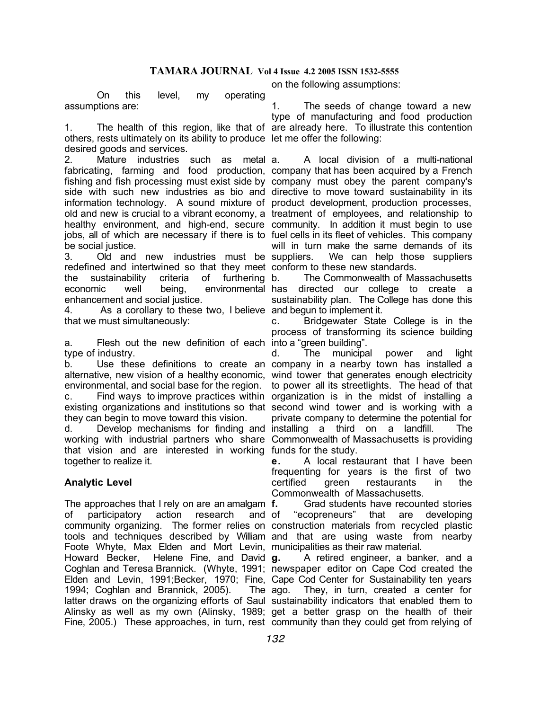On this level, my operating assumptions are:

1. The health of this region, like that of are already here. To illustrate this contention others, rests ultimately on its ability to produce let me offer the following: desired goods and services.

2. Mature industries such as metal fabricating, farming and food production, company that has been acquired by a French fishing and fish processing must exist side by company must obey the parent company's side with such new industries as bio and directive to move toward sustainability in its information technology. A sound mixture of product development, production processes, old and new is crucial to a vibrant economy, a treatment of employees, and relationship to healthy environment, and high-end, secure community. In addition it must begin to use jobs, all of which are necessary if there is to fuel cells in its fleet of vehicles. This company be social justice.

3. Old and new industries must be suppliers. redefined and intertwined so that they meet conform to these new standards. the sustainability criteria of furthering economic well being, environmental enhancement and social justice.

4. As a corollary to these two, I believe and begun to implement it. that we must simultaneously:

a. Flesh out the new definition of each into a "green building". type of industry.

b. Use these definitions to create an company in a nearby town has installed a alternative, new vision of a healthy economic, wind tower that generates enough electricity environmental, and social base for the region.

existing organizations and institutions so that second wind tower and is working with a they can begin to move toward this vision.

working with industrial partners who share Commonwealth of Massachusetts is providing that vision and are interested in working funds for the study. together to realize it.

# **Analytic Level**

The approaches that I rely on are an amalgam f. of participatory action research and community organizing. The former relies on construction materials from recycled plastic tools and techniques described by William and that are using waste from nearby Foote Whyte, Max Elden and Mort Levin, municipalities as their raw material. Howard Becker, Helene Fine, and David g. Coghlan and Teresa Brannick. (Whyte, 1991; newspaper editor on Cape Cod created the Elden and Levin, 1991;Becker, 1970; Fine, Cape Cod Center for Sustainability ten years 1994; Coghlan and Brannick, 2005). latter draws on the organizing efforts of Saul sustainability indicators that enabled them to Alinsky as well as my own (Alinsky, 1989; get a better grasp on the health of their

1. The seeds of change toward a new type of manufacturing and food production

on the following assumptions:

a. A local division of a multi-national will in turn make the same demands of its We can help those suppliers.

b. The Commonwealth of Massachusetts directed our college to create a sustainability plan. The College has done this

c. Bridgewater State College is in the process of transforming its science building

c. Find ways to improve practices within organization is in the midst of installing a d. Develop mechanisms for finding and installing a third on a landfill. The d. The municipal power and light to power all its streetlights. The head of that private company to determine the potential for

> **e.** A local restaurant that I have been frequenting for years is the first of two certified green restaurants in the Commonwealth of Massachusetts.

> **f.** Grad students have recounted stories "ecopreneurs" that are developing

Fine, 2005.) These approaches, in turn, rest community than they could get from relying of **g.** A retired engineer, a banker, and a The ago. They, in turn, created a center for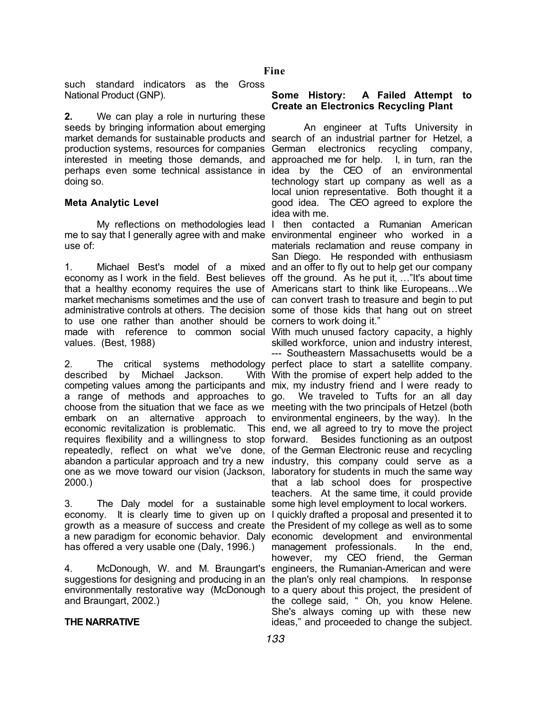such standard indicators as the Gross National Product (GNP).

**2.** We can play a role in nurturing these seeds by bringing information about emerging market demands for sustainable products and search of an industrial partner for Hetzel, a production systems, resources for companies German electronics recycling company, interested in meeting those demands, and approached me for help. I, in turn, ran the perhaps even some technical assistance in idea by the CEO of an environmental doing so.

# **Meta Analytic Level**

me to say that I generally agree with and make environmental engineer who worked in a use of:

1. Michael Best's model of a mixed and an offer to fly out to help get our company economy as I work in the field. Best believes off the ground. As he put it, …"It's about time that a healthy economy requires the use of Americans start to think like Europeans…We market mechanisms sometimes and the use of can convert trash to treasure and begin to put administrative controls at others. The decision some of those kids that hang out on street to use one rather than another should be corners to work doing it." made with reference to common social With much unused factory capacity, a highly values. (Best, 1988)

2. The critical systems methodology perfect place to start a satellite company. described by Michael Jackson. competing values among the participants and mix, my industry friend and I were ready to a range of methods and approaches to go. We traveled to Tufts for an all day choose from the situation that we face as we meeting with the two principals of Hetzel (both embark on an alternative approach to environmental engineers, by the way). In the economic revitalization is problematic. requires flexibility and a willingness to stop forward. repeatedly, reflect on what we've done, of the German Electronic reuse and recycling abandon a particular approach and try a new industry, this company could serve as a one as we move toward our vision (Jackson, laboratory for students in much the same way 2000.)

3. The Daly model for a sustainable some high level employment to local workers. economy. It is clearly time to given up on I quickly drafted a proposal and presented it to growth as a measure of success and create the President of my college as well as to some a new paradigm for economic behavior. Daly economic development and environmental has offered a very usable one (Daly, 1996.)

4. McDonough, W. and M. Braungart's engineers, the Rumanian-American and were suggestions for designing and producing in an the plan's only real champions. In response environmentally restorative way (McDonough to a query about this project, the president of and Braungart, 2002.)

### **THE NARRATIVE**

### **Some History: A Failed Attempt to Create an Electronics Recycling Plant**

An engineer at Tufts University in technology start up company as well as a local union representative. Both thought it a good idea. The CEO agreed to explore the idea with me.

My reflections on methodologies lead I then contacted a Rumanian American materials reclamation and reuse company in San Diego. He responded with enthusiasm

skilled workforce, union and industry interest,

--- Southeastern Massachusetts would be a With With the promise of expert help added to the This end, we all agreed to try to move the project Besides functioning as an outpost that a lab school does for prospective teachers. At the same time, it could provide

> management professionals. In the end, however, my CEO friend, the German the college said, " Oh, you know Helene. She's always coming up with these new ideas," and proceeded to change the subject.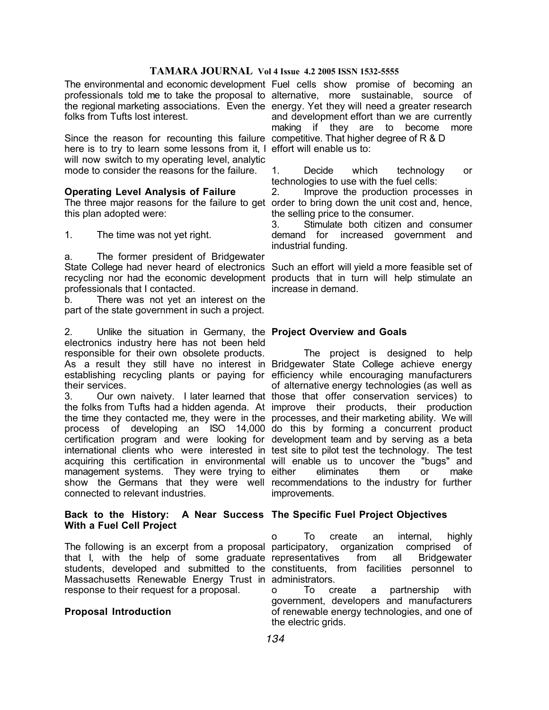# **TAMARA JOURNAL Vol 4 Issue 4.2 2005 ISSN 1532-5555**

folks from Tufts lost interest.

Since the reason for recounting this failure competitive. That higher degree of R & D here is to try to learn some lessons from it, I effort will enable us to: will now switch to my operating level, analytic mode to consider the reasons for the failure.

# **Operating Level Analysis of Failure**

this plan adopted were:

1. The time was not yet right.

a. The former president of Bridgewater State College had never heard of electronics Such an effort will yield a more feasible set of recycling nor had the economic development products that in turn will help stimulate an professionals that I contacted.

b. There was not yet an interest on the part of the state government in such a project.

2. Unlike the situation in Germany, the **Project Overview and Goals** electronics industry here has not been held responsible for their own obsolete products. As a result they still have no interest in Bridgewater State College achieve energy establishing recycling plants or paying for efficiency while encouraging manufacturers their services.

3. Our own naivety. I later learned that those that offer conservation services) to the folks from Tufts had a hidden agenda. At improve their products, their production the time they contacted me, they were in the processes, and their marketing ability. We will process of developing an ISO 14,000 do this by forming a concurrent product certification program and were looking for development team and by serving as a beta international clients who were interested in test site to pilot test the technology. The test acquiring this certification in environmental will enable us to uncover the "bugs" and management systems. They were trying to either show the Germans that they were well recommendations to the industry for further connected to relevant industries.

#### **Back to the History: A Near Success The Specific Fuel Project Objectives With a Fuel Cell Project**

The following is an excerpt from a proposal participatory, organization comprised of that I, with the help of some graduate representatives from all Bridgewater Massachusetts Renewable Energy Trust in administrators. response to their request for a proposal.

# **Proposal Introduction**

The environmental and economic development Fuel cells show promise of becoming an professionals told me to take the proposal to alternative, more sustainable, source of the regional marketing associations. Even the energy. Yet they will need a greater research and development effort than we are currently making if they are to become more

> 1. Decide which technology or technologies to use with the fuel cells:

The three major reasons for the failure to get order to bring down the unit cost and, hence, 2. Improve the production processes in the selling price to the consumer.

> 3. Stimulate both citizen and consumer demand for increased government and industrial funding.

> increase in demand.

The project is designed to help of alternative energy technologies (as well as eliminates them or make improvements.

students, developed and submitted to the constituents, from facilities personnel to o To create an internal, highly

> o To create a partnership with government, developers and manufacturers of renewable energy technologies, and one of the electric grids.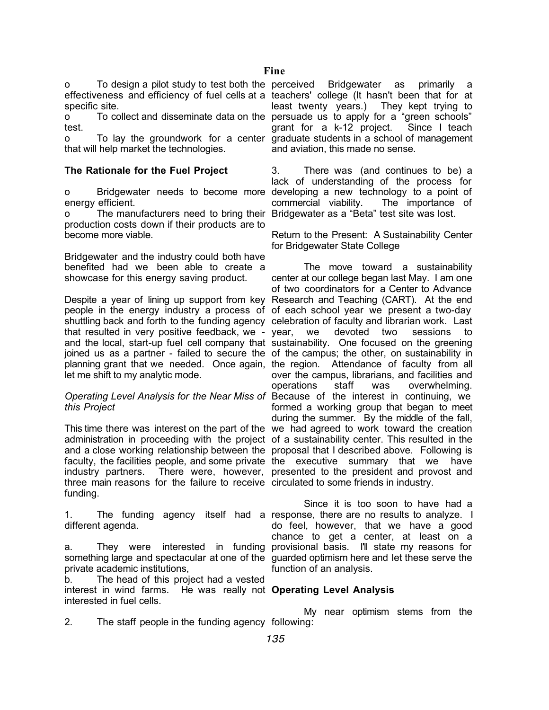o To design a pilot study to test both the effectiveness and efficiency of fuel cells at a teachers' college (It hasn't been that for at specific site.

o To collect and disseminate data on the persuade us to apply for a "green schools" test.

o To lay the groundwork for a center graduate students in a school of management that will help market the technologies.

# **The Rationale for the Fuel Project**

o Bridgewater needs to become more developing a new technology to a point of energy efficient.

o The manufacturers need to bring their Bridgewater as a "Beta" test site was lost. production costs down if their products are to become more viable.

Bridgewater and the industry could both have benefited had we been able to create a showcase for this energy saving product.

Despite a year of lining up support from key Research and Teaching (CART). At the end people in the energy industry a process of of each school year we present a two-day shuttling back and forth to the funding agency celebration of faculty and librarian work. Last that resulted in very positive feedback, we - year, we and the local, start-up fuel cell company that sustainability. One focused on the greening joined us as a partner - failed to secure the of the campus; the other, on sustainability in planning grant that we needed. Once again, the region. Attendance of faculty from all let me shift to my analytic mode.

# *Operating Level Analysis for the Near Miss of*  Because of the interest in continuing, we *this Project*

This time there was interest on the part of the we had agreed to work toward the creation administration in proceeding with the project of a sustainability center. This resulted in the and a close working relationship between the proposal that I described above. Following is faculty, the facilities people, and some private the executive summary that we have industry partners. There were, however, presented to the president and provost and three main reasons for the failure to receive circulated to some friends in industry. funding.

different agenda.

a. They were interested in funding provisional basis. I'll state my reasons for something large and spectacular at one of the guarded optimism here and let these serve the private academic institutions,

b. The head of this project had a vested interest in wind farms. He was really not **Operating Level Analysis** interested in fuel cells.

Bridgewater as primarily least twenty years.) They kept trying to grant for a k-12 project. Since I teach and aviation, this made no sense.

3. There was (and continues to be) a lack of understanding of the process for commercial viability. The importance of

Return to the Present: A Sustainability Center for Bridgewater State College

The move toward a sustainability center at our college began last May. I am one of two coordinators for a Center to Advance devoted two sessions to over the campus, librarians, and facilities and operations staff was overwhelming. formed a working group that began to meet during the summer. By the middle of the fall,

1. The funding agency itself had a response, there are no results to analyze. I Since it is too soon to have had a do feel, however, that we have a good chance to get a center, at least on a function of an analysis.

My near optimism stems from the

2. The staff people in the funding agency following: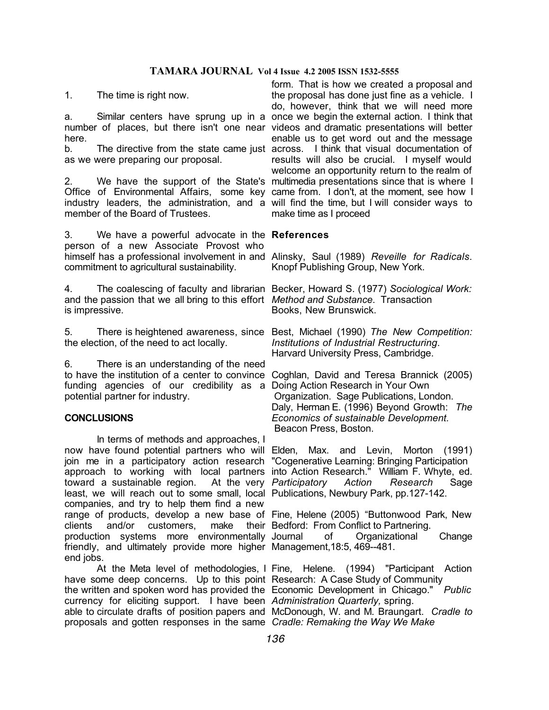# **TAMARA JOURNAL Vol 4 Issue 4.2 2005 ISSN 1532-5555**

1. The time is right now.

a. Similar centers have sprung up in a once we begin the external action. I think that number of places, but there isn't one near videos and dramatic presentations will better here.

b. The directive from the state came just across. I think that visual documentation of as we were preparing our proposal.

2. We have the support of the State's multimedia presentations since that is where I Office of Environmental Affairs, some key came from. I don't, at the moment, see how I industry leaders, the administration, and a will find the time, but I will consider ways to member of the Board of Trustees.

3. We have a powerful advocate in the **References** person of a new Associate Provost who himself has a professional involvement in and Alinsky, Saul (1989) *Reveille for Radicals*. commitment to agricultural sustainability.

4. The coalescing of faculty and librarian Becker, Howard S. (1977) *Sociological Work:*  and the passion that we all bring to this effort *Method and Substance*. Transaction is impressive.

the election, of the need to act locally.

6. There is an understanding of the need to have the institution of a center to convince Coghlan, David and Teresa Brannick (2005) funding agencies of our credibility as a Doing Action Research in Your Own potential partner for industry.

### **CONCLUSIONS**

In terms of methods and approaches, I now have found potential partners who will Elden, Max. and Levin, Morton (1991) join me in a participatory action research "Cogenerative Learning: Bringing Participation approach to working with local partners into Action Research." William F. Whyte, ed. toward a sustainable region. least, we will reach out to some small, local Publications, Newbury Park, pp.127-142. companies, and try to help them find a new range of products, develop a new base of Fine, Helene (2005) "Buttonwood Park, New clients and/or customers, production systems more environmentally friendly, and ultimately provide more higher Management,18:5, 469--481. end jobs.

have some deep concerns. Up to this point Research: A Case Study of Community the written and spoken word has provided the Economic Development in Chicago." *Public*  currency for eliciting support. I have been *Administration Quarterly,* spring. able to circulate drafts of position papers and McDonough, W. and M. Braungart. *Cradle to*  proposals and gotten responses in the same *Cradle: Remaking the Way We Make*

form. That is how we created a proposal and the proposal has done just fine as a vehicle. I do, however, think that we will need more enable us to get word out and the message results will also be crucial. I myself would welcome an opportunity return to the realm of make time as I proceed

Knopf Publishing Group, New York.

Books, New Brunswick.

5. There is heightened awareness, since Best, Michael (1990) *The New Competition: Institutions of Industrial Restructuring*. Harvard University Press, Cambridge.

> Organization. Sage Publications, London. Daly, Herman E. (1996) Beyond Growth: *The Economics of sustainable Development.* Beacon Press, Boston.

At the very Participatory Action Research Sage

make their Bedford: From Conflict to Partnering. of Organizational Change

At the Meta level of methodologies, I Fine, Helene. (1994) "Participant Action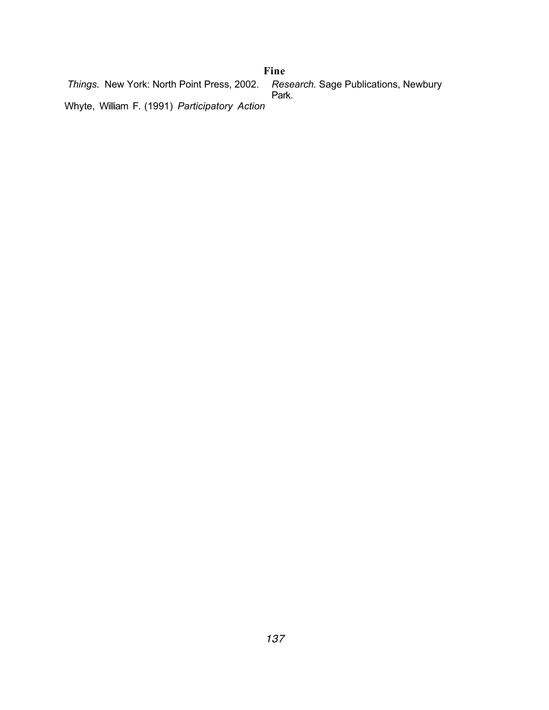#### *Things*. New York: North Point Press, 2002. Whyte, William F. (1991) *Participatory Action Research.* Sage Publications, Newbury Park. **Fine**